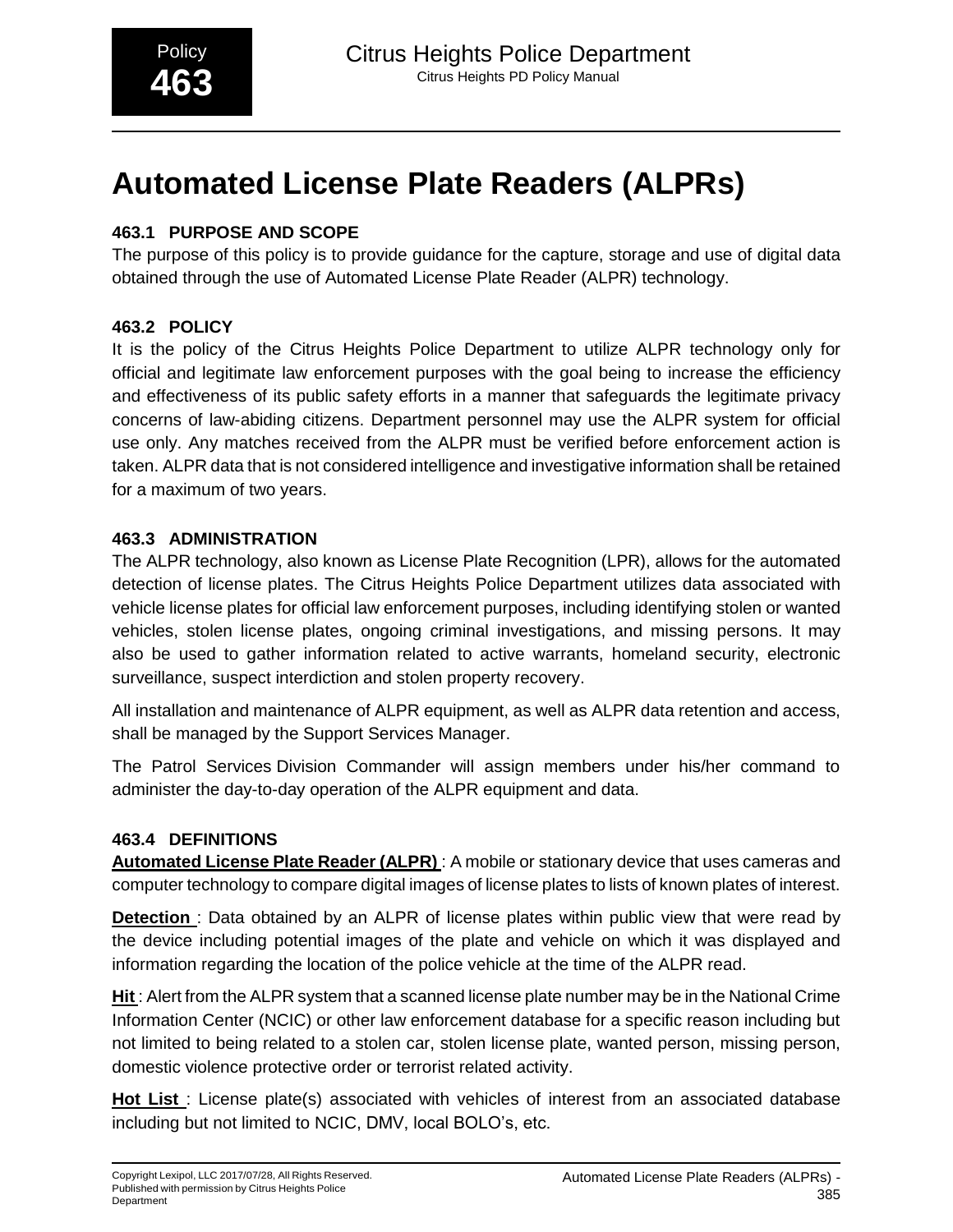# **Automated License Plate Readers (ALPRs)**

# **463.1 PURPOSE AND SCOPE**

The purpose of this policy is to provide guidance for the capture, storage and use of digital data obtained through the use of Automated License Plate Reader (ALPR) technology.

# **463.2 POLICY**

It is the policy of the Citrus Heights Police Department to utilize ALPR technology only for official and legitimate law enforcement purposes with the goal being to increase the efficiency and effectiveness of its public safety efforts in a manner that safeguards the legitimate privacy concerns of law-abiding citizens. Department personnel may use the ALPR system for official use only. Any matches received from the ALPR must be verified before enforcement action is taken. ALPR data that is not considered intelligence and investigative information shall be retained for a maximum of two years.

# **463.3 ADMINISTRATION**

The ALPR technology, also known as License Plate Recognition (LPR), allows for the automated detection of license plates. The Citrus Heights Police Department utilizes data associated with vehicle license plates for official law enforcement purposes, including identifying stolen or wanted vehicles, stolen license plates, ongoing criminal investigations, and missing persons. It may also be used to gather information related to active warrants, homeland security, electronic surveillance, suspect interdiction and stolen property recovery.

All installation and maintenance of ALPR equipment, as well as ALPR data retention and access, shall be managed by the Support Services Manager.

The Patrol Services Division Commander will assign members under his/her command to administer the day-to-day operation of the ALPR equipment and data.

## **463.4 DEFINITIONS**

**Automated License Plate Reader (ALPR)** : A mobile or stationary device that uses cameras and computer technology to compare digital images of license plates to lists of known plates of interest.

**Detection** : Data obtained by an ALPR of license plates within public view that were read by the device including potential images of the plate and vehicle on which it was displayed and information regarding the location of the police vehicle at the time of the ALPR read.

**Hit** : Alert from the ALPR system that a scanned license plate number may be in the National Crime Information Center (NCIC) or other law enforcement database for a specific reason including but not limited to being related to a stolen car, stolen license plate, wanted person, missing person, domestic violence protective order or terrorist related activity.

**Hot List** : License plate(s) associated with vehicles of interest from an associated database including but not limited to NCIC, DMV, local BOLO's, etc.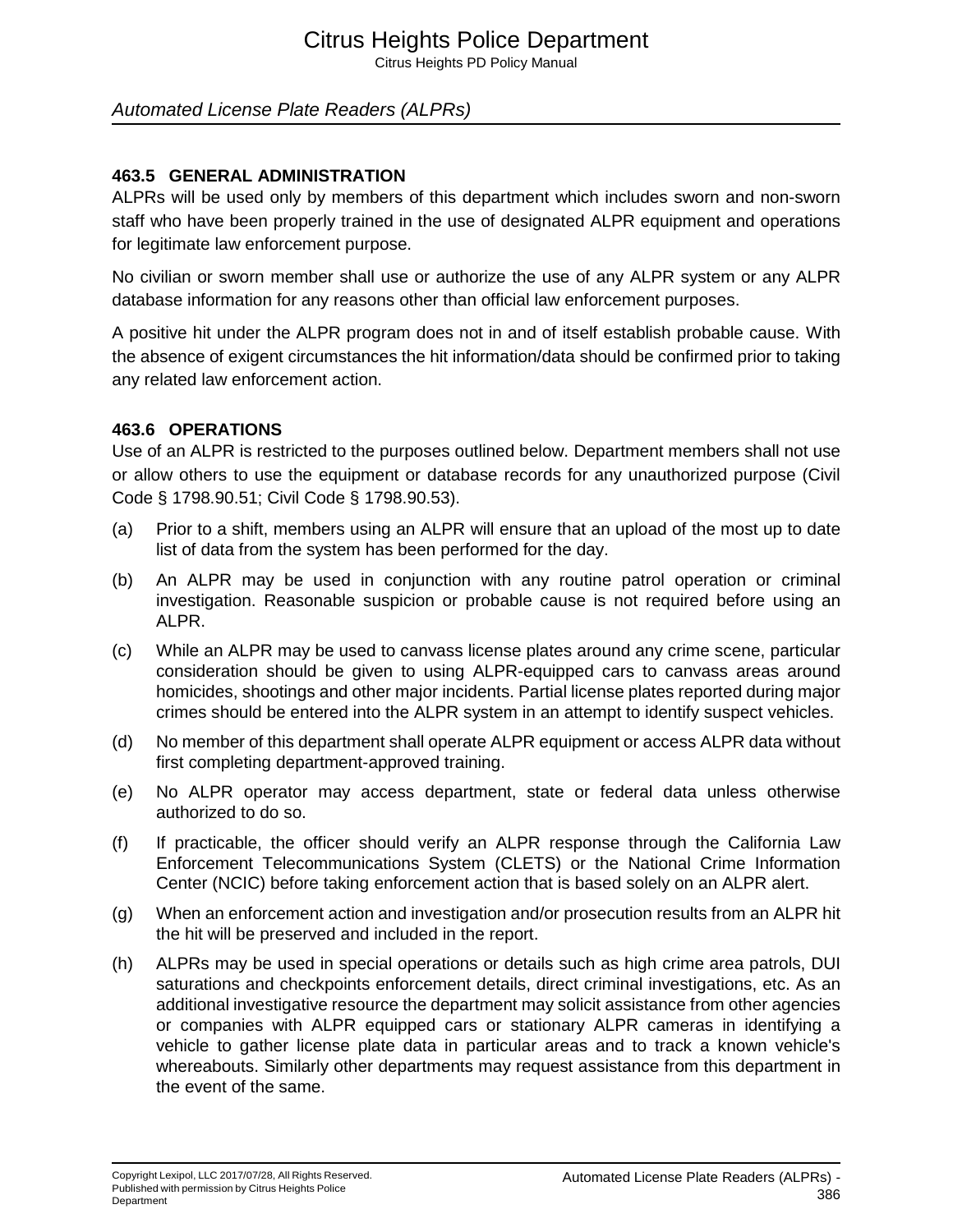# Citrus Heights Police Department

Citrus Heights PD Policy Manual

# *Automated License Plate Readers (ALPRs)*

#### **463.5 GENERAL ADMINISTRATION**

ALPRs will be used only by members of this department which includes sworn and non-sworn staff who have been properly trained in the use of designated ALPR equipment and operations for legitimate law enforcement purpose.

No civilian or sworn member shall use or authorize the use of any ALPR system or any ALPR database information for any reasons other than official law enforcement purposes.

A positive hit under the ALPR program does not in and of itself establish probable cause. With the absence of exigent circumstances the hit information/data should be confirmed prior to taking any related law enforcement action.

#### **463.6 OPERATIONS**

Use of an ALPR is restricted to the purposes outlined below. Department members shall not use or allow others to use the equipment or database records for any unauthorized purpose (Civil Code § 1798.90.51; Civil Code § 1798.90.53).

- (a) Prior to a shift, members using an ALPR will ensure that an upload of the most up to date list of data from the system has been performed for the day.
- (b) An ALPR may be used in conjunction with any routine patrol operation or criminal investigation. Reasonable suspicion or probable cause is not required before using an ALPR.
- (c) While an ALPR may be used to canvass license plates around any crime scene, particular consideration should be given to using ALPR-equipped cars to canvass areas around homicides, shootings and other major incidents. Partial license plates reported during major crimes should be entered into the ALPR system in an attempt to identify suspect vehicles.
- (d) No member of this department shall operate ALPR equipment or access ALPR data without first completing department-approved training.
- (e) No ALPR operator may access department, state or federal data unless otherwise authorized to do so.
- (f) If practicable, the officer should verify an ALPR response through the California Law Enforcement Telecommunications System (CLETS) or the National Crime Information Center (NCIC) before taking enforcement action that is based solely on an ALPR alert.
- (g) When an enforcement action and investigation and/or prosecution results from an ALPR hit the hit will be preserved and included in the report.
- (h) ALPRs may be used in special operations or details such as high crime area patrols, DUI saturations and checkpoints enforcement details, direct criminal investigations, etc. As an additional investigative resource the department may solicit assistance from other agencies or companies with ALPR equipped cars or stationary ALPR cameras in identifying a vehicle to gather license plate data in particular areas and to track a known vehicle's whereabouts. Similarly other departments may request assistance from this department in the event of the same.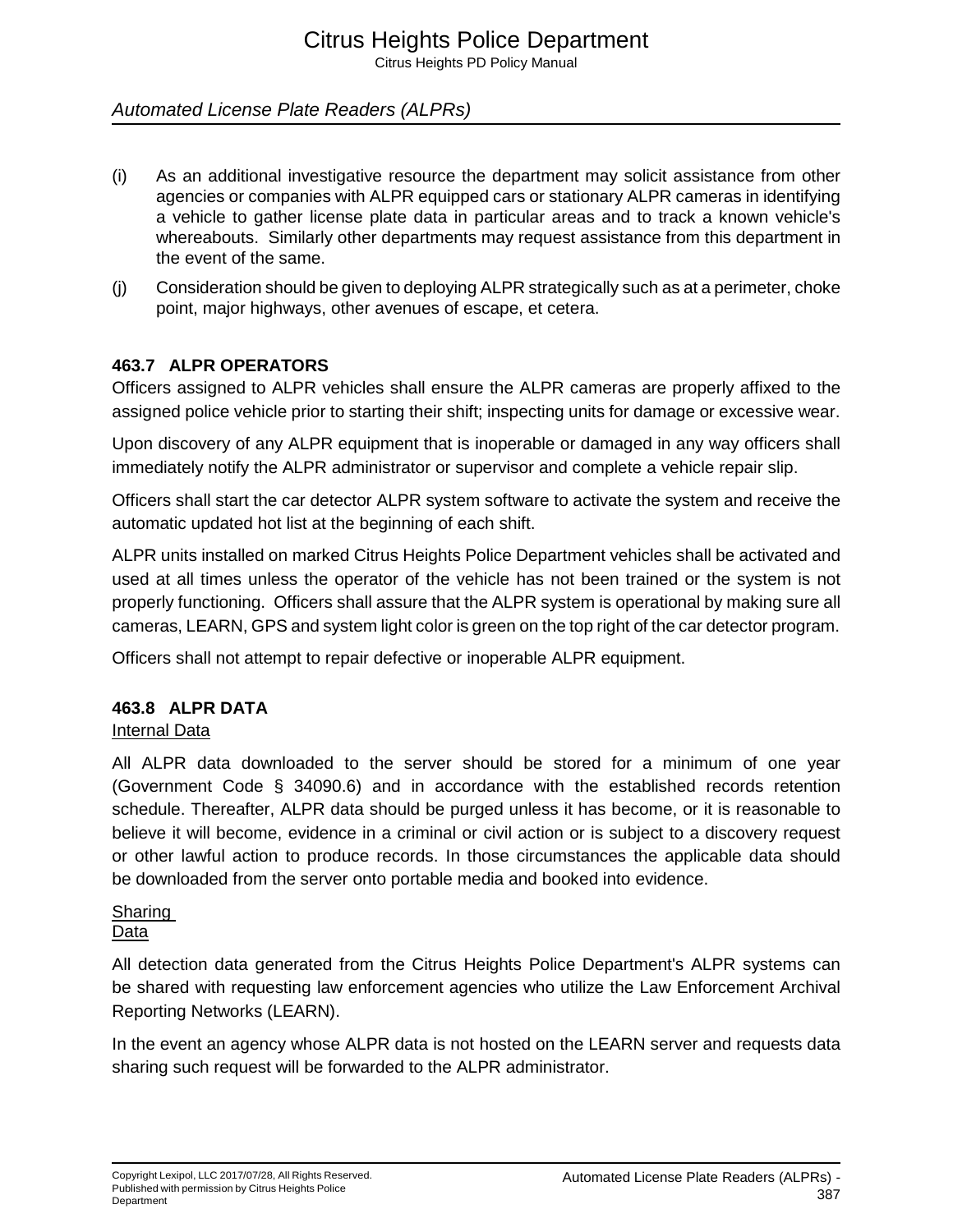Citrus Heights PD Policy Manual

# *Automated License Plate Readers (ALPRs)*

- (i) As an additional investigative resource the department may solicit assistance from other agencies or companies with ALPR equipped cars or stationary ALPR cameras in identifying a vehicle to gather license plate data in particular areas and to track a known vehicle's whereabouts. Similarly other departments may request assistance from this department in the event of the same.
- (j) Consideration should be given to deploying ALPR strategically such as at a perimeter, choke point, major highways, other avenues of escape, et cetera.

#### **463.7 ALPR OPERATORS**

Officers assigned to ALPR vehicles shall ensure the ALPR cameras are properly affixed to the assigned police vehicle prior to starting their shift; inspecting units for damage or excessive wear.

Upon discovery of any ALPR equipment that is inoperable or damaged in any way officers shall immediately notify the ALPR administrator or supervisor and complete a vehicle repair slip.

Officers shall start the car detector ALPR system software to activate the system and receive the automatic updated hot list at the beginning of each shift.

ALPR units installed on marked Citrus Heights Police Department vehicles shall be activated and used at all times unless the operator of the vehicle has not been trained or the system is not properly functioning. Officers shall assure that the ALPR system is operational by making sure all cameras, LEARN, GPS and system light color is green on the top right of the car detector program.

Officers shall not attempt to repair defective or inoperable ALPR equipment.

#### **463.8 ALPR DATA**

#### Internal Data

All ALPR data downloaded to the server should be stored for a minimum of one year (Government Code § 34090.6) and in accordance with the established records retention schedule. Thereafter, ALPR data should be purged unless it has become, or it is reasonable to believe it will become, evidence in a criminal or civil action or is subject to a discovery request or other lawful action to produce records. In those circumstances the applicable data should be downloaded from the server onto portable media and booked into evidence.

# **Sharing**

## **Data**

All detection data generated from the Citrus Heights Police Department's ALPR systems can be shared with requesting law enforcement agencies who utilize the Law Enforcement Archival Reporting Networks (LEARN).

In the event an agency whose ALPR data is not hosted on the LEARN server and requests data sharing such request will be forwarded to the ALPR administrator.